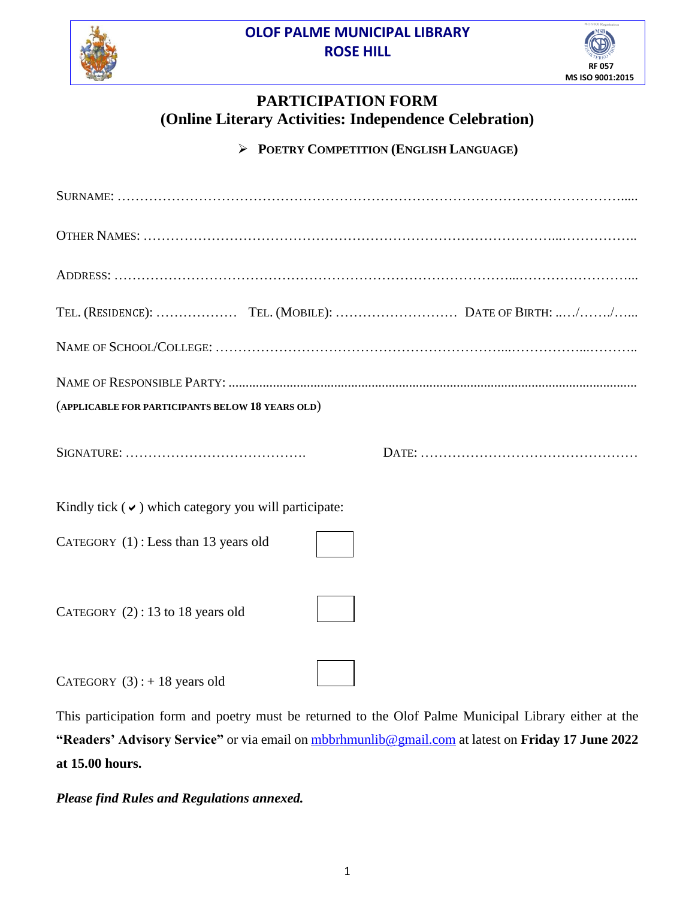#### **OLOF PALME MUNICIPAL LIBRARY ROSE HILL**





## **PARTICIPATION FORM (Online Literary Activities: Independence Celebration)**

**POETRY COMPETITION (ENGLISH LANGUAGE)**

| (APPLICABLE FOR PARTICIPANTS BELOW 18 YEARS OLD)          |  |
|-----------------------------------------------------------|--|
|                                                           |  |
| Kindly tick $(\vee)$ which category you will participate: |  |
| CATEGORY (1): Less than 13 years old                      |  |
| CATEGORY $(2)$ : 13 to 18 years old                       |  |
| CATEGORY $(3)$ : + 18 years old                           |  |

This participation form and poetry must be returned to the Olof Palme Municipal Library either at the **"Readers' Advisory Service"** or via email on [mbbrhmunlib@gmail.com](mailto:mbbrhmunlib@gmail.com) at latest on **Friday 17 June 2022 at 15.00 hours.**

*Please find Rules and Regulations annexed.*